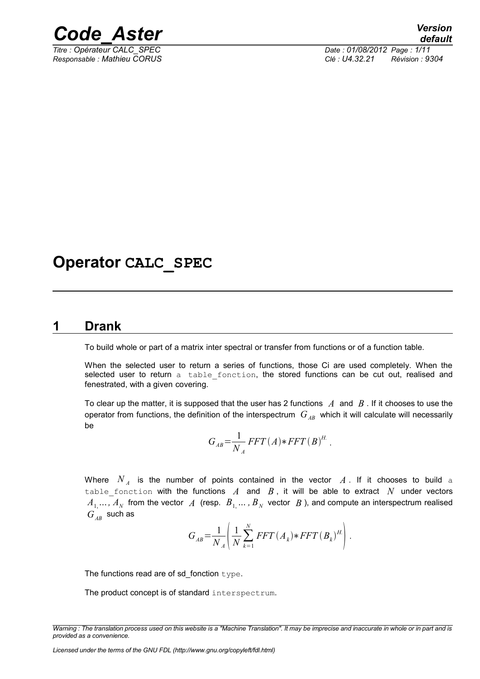

*Titre : Opérateur CALC\_SPEC Date : 01/08/2012 Page : 1/11 Responsable : Mathieu CORUS Clé : U4.32.21 Révision : 9304*

# **Operator CALC\_SPEC**

#### **1 Drank**

<span id="page-0-0"></span>To build whole or part of a matrix inter spectral or transfer from functions or of a function table.

When the selected user to return a series of functions, those Ci are used completely. When the selected user to return a table fonction, the stored functions can be cut out, realised and fenestrated, with a given covering.

To clear up the matter, it is supposed that the user has 2 functions *A* and *B* . If it chooses to use the operator from functions, the definition of the interspectrum  $G_{AB}$  which it will calculate will necessarily be

$$
G_{AB} = \frac{1}{N_A} FFT(A) * FFT(B)^H.
$$

Where  $N_A$  is the number of points contained in the vector  $A$  . If it chooses to build a table\_fonction with the functions  $A$  and  $B$ , it will be able to extract  $N$  under vectors  $A_1, ..., A_N$  from the vector  $A$  (resp.  $B_1, ..., B_N$  vector  $B$  ), and compute an interspectrum realised  $G_{AB}$  such as

$$
G_{AB} = \frac{1}{N_A} \left( \frac{1}{N} \sum_{k=1}^{N} FFT(A_k) * FFT(B_k)^{H} \right).
$$

The functions read are of sd\_fonction type.

The product concept is of standard interspectrum.

*Licensed under the terms of the GNU FDL (http://www.gnu.org/copyleft/fdl.html)*

*Warning : The translation process used on this website is a "Machine Translation". It may be imprecise and inaccurate in whole or in part and is provided as a convenience.*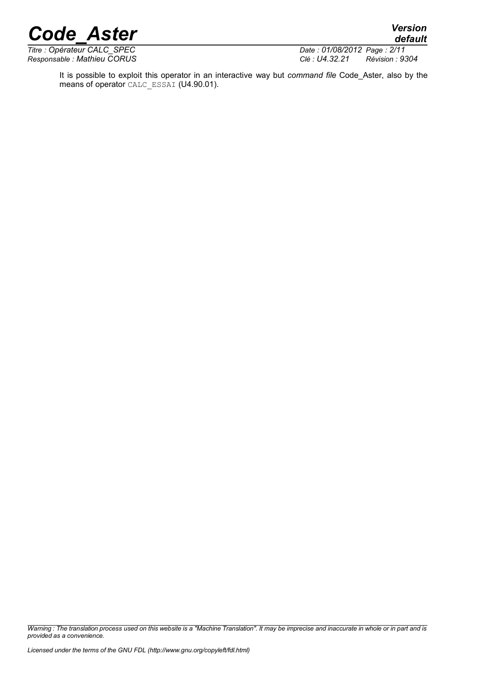*Titre : Opérateur CALC\_SPEC Date : 01/08/2012 Date : 01/08/2012 Date : 01/08/2012 Page : 01/08/2012 Date : 01/08/2012 Date : 01/08/2012 Page : 01/08/2014 Date : 01/08/2014 Date : 01/08/2014 Dié : 014.3* 

*Responsable : Mathieu CORUS Clé : U4.32.21 Révision : 9304*

*default*

It is possible to exploit this operator in an interactive way but *command file* Code\_Aster, also by the means of operator CALC\_ESSAI (U4.90.01).

*Warning : The translation process used on this website is a "Machine Translation". It may be imprecise and inaccurate in whole or in part and is provided as a convenience.*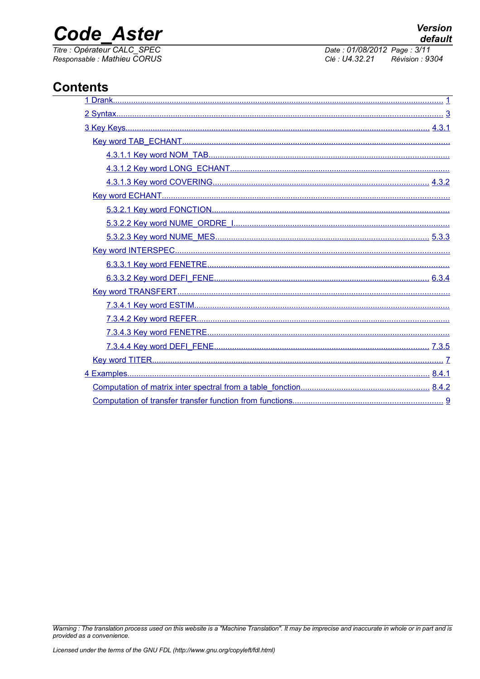# **Code Aster**

Titre : Opérateur CALC\_SPEC<br>Responsable : Mathieu CORUS

Date: 01/08/2012 Page: 3/11 Clé : U4.32.21 Révision : 9304

## **Contents**

| Computation of transfer transfer function from functions | q |
|----------------------------------------------------------|---|

Warning : The translation process used on this website is a "Machine Translation". It may be imprecise and inaccurate in whole or in part and is provided as a convenience.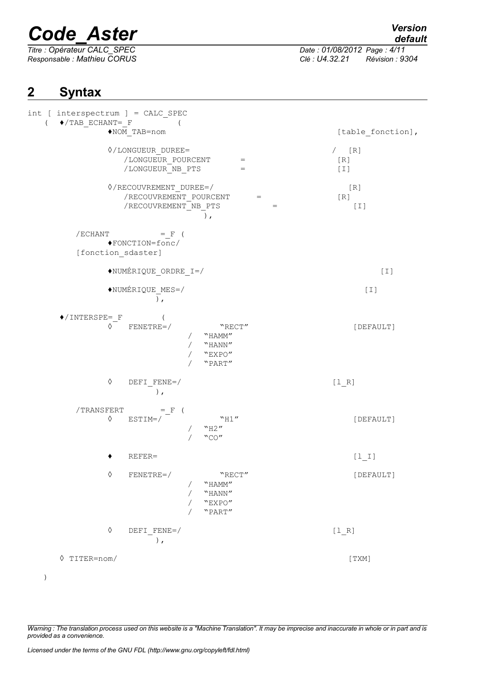*Titre : Opérateur CALC\_SPEC Date : 01/08/2012 Page : 4/11*

*Responsable : Mathieu CORUS Clé : U4.32.21 Révision : 9304*

# <span id="page-3-0"></span>**2 Syntax**

| int [ interspectrum ] = CALC_SPEC<br>$(\bullet/TAB$ ECHANT= F                                                                        |                         |
|--------------------------------------------------------------------------------------------------------------------------------------|-------------------------|
| $NOM_TAB = nom$                                                                                                                      | [table fonction],       |
| $\Diamond$ /LONGUEUR DUREE=<br>/LONGUEUR POURCENT<br>$\hspace{1.6cm} = \hspace{1.6cm}$<br>/LONGUEUR_NB_PTS<br>$=$                    | $/$ [R]<br>[R]<br>$[1]$ |
| $\Diamond$ /RECOUVREMENT_DUREE=/<br>/RECOUVREMENT POURCENT<br>$\alpha = \alpha$<br>/RECOUVREMENT NB PTS<br>$=$<br>$)$ ,              | $[ R ]$<br>[R]<br>$[1]$ |
| $/ECHANT$ = F (<br>◆FONCTION=fonc/                                                                                                   |                         |
| [fonction_sdaster]                                                                                                                   |                         |
| ◆NUMÉRIQUE_ORDRE_I=/                                                                                                                 | $[1]$                   |
| $\blacklozenge \texttt{NUMÉRIQUE\_MES=}/$<br>$\lambda$ ,                                                                             | $[1]$                   |
| $\blacklozenge$ /INTERSPE= F<br>$FENETRE=$<br>$\Diamond$<br>"RECT"<br>"HAMM"<br>/ $\,$ "HANN" $\,$<br>"EXPO"<br>$\sqrt{2}$<br>"PART" | [DEFAULT]               |
| ♦<br>DEFI FENE=/<br>$)$ ,                                                                                                            | $[1_R]$                 |
| $\begin{array}{lll} \mbox{/TransFERT} & =_F & ( \\ \mbox{\boldmath$\Diamond$} & \mbox{\tt ESTIM} \mbox{$=$} / \end{array}$           |                         |
| "H1"<br>"H2"<br>$"$ CO"                                                                                                              | [DEFAULT]               |
| REFER=                                                                                                                               | $[1_1]$                 |
| $\Diamond$<br>$FENETRE=$<br>"RECT"<br>"HAMM"<br>$``$ HANN $''$<br>"EXPO"<br>"PART"                                                   | [DEFAULT]               |
| $\Diamond$<br>DEFI FENE=/<br>$\left  \right $ ,                                                                                      | $[1_R]$                 |
| $\Diamond$ TITER=nom/<br>$\lambda$                                                                                                   | $[$ TXM $]\;$           |

*Warning : The translation process used on this website is a "Machine Translation". It may be imprecise and inaccurate in whole or in part and is provided as a convenience.*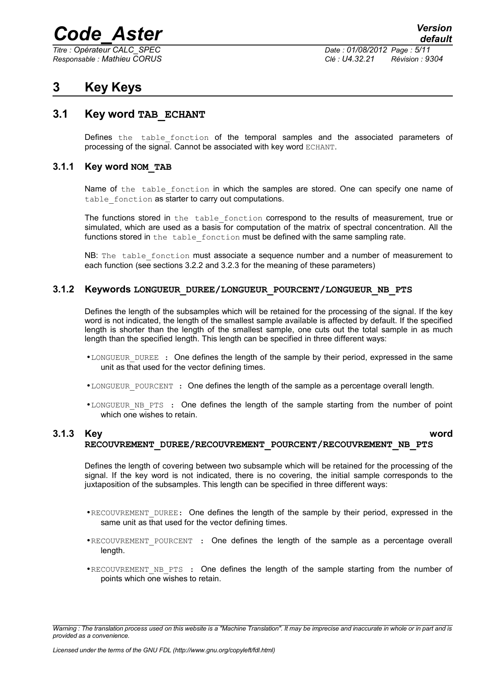*Titre : Opérateur CALC\_SPEC Date : 01/08/2012 Page : 5/11*

*Responsable : Mathieu CORUS Clé : U4.32.21 Révision : 9304*

## <span id="page-4-4"></span>**3 Key Keys**

#### **3.1 Key word TAB\_ECHANT**

<span id="page-4-3"></span>Defines the table fonction of the temporal samples and the associated parameters of processing of the signal. Cannot be associated with key word ECHANT.

#### **3.1.1 Key word NOM\_TAB**

<span id="page-4-2"></span>Name of the table fonction in which the samples are stored. One can specify one name of table fonction as starter to carry out computations.

The functions stored in the table fonction correspond to the results of measurement, true or simulated, which are used as a basis for computation of the matrix of spectral concentration. All the functions stored in the table fonction must be defined with the same sampling rate.

NB: The table fonction must associate a sequence number and a number of measurement to each function (see sections 3.2.2 and 3.2.3 for the meaning of these parameters)

#### **3.1.2 Keywords LONGUEUR\_DUREE/LONGUEUR\_POURCENT/LONGUEUR\_NB\_PTS**

<span id="page-4-1"></span>Defines the length of the subsamples which will be retained for the processing of the signal. If the key word is not indicated, the length of the smallest sample available is affected by default. If the specified length is shorter than the length of the smallest sample, one cuts out the total sample in as much length than the specified length. This length can be specified in three different ways:

- •LONGUEUR DUREE : One defines the length of the sample by their period, expressed in the same unit as that used for the vector defining times.
- •LONGUEUR POURCENT : One defines the length of the sample as a percentage overall length.
- •LONGUEUR NB PTS : One defines the length of the sample starting from the number of point which one wishes to retain.

#### **3.1.3 Key word RECOUVREMENT\_DUREE/RECOUVREMENT\_POURCENT/RECOUVREMENT\_NB\_PTS**

<span id="page-4-0"></span>

Defines the length of covering between two subsample which will be retained for the processing of the signal. If the key word is not indicated, there is no covering, the initial sample corresponds to the juxtaposition of the subsamples. This length can be specified in three different ways:

- •RECOUVREMENT DUREE: One defines the length of the sample by their period, expressed in the same unit as that used for the vector defining times.
- •RECOUVREMENT POURCENT : One defines the length of the sample as a percentage overall length.
- •RECOUVREMENT NB PTS : One defines the length of the sample starting from the number of points which one wishes to retain.

*Warning : The translation process used on this website is a "Machine Translation". It may be imprecise and inaccurate in whole or in part and is provided as a convenience.*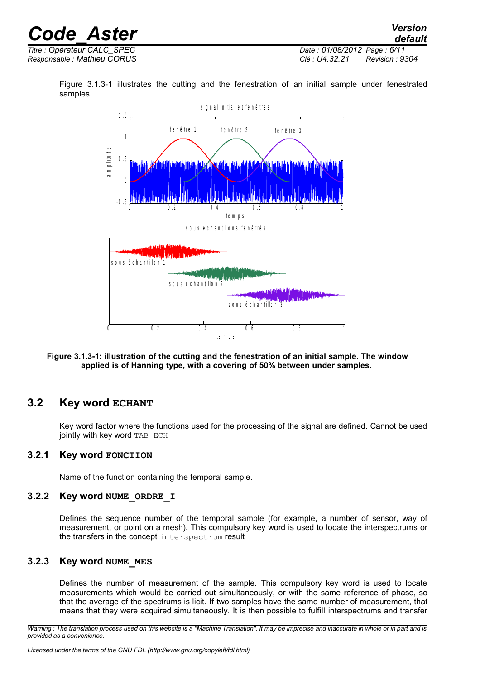| <b>Code Aster</b>           | <b>Version</b><br>default         |
|-----------------------------|-----------------------------------|
| Titre : Opérateur CALC SPEC | Date: 01/08/2012 Page: 6/11       |
| Responsable : Mathieu CORUS | Clé : U4.32.21<br>Révision : 9304 |

Figure [3.1.3-1](#page-5-4) illustrates the cutting and the fenestration of an initial sample under fenestrated samples.



#### <span id="page-5-4"></span>**Figure 3.1.3-1: illustration of the cutting and the fenestration of an initial sample. The window applied is of Hanning type, with a covering of 50% between under samples.**

#### **3.2 Key word ECHANT**

<span id="page-5-3"></span>Key word factor where the functions used for the processing of the signal are defined. Cannot be used jointly with key word TAB ECH

#### **3.2.1 Key word FONCTION**

<span id="page-5-2"></span><span id="page-5-1"></span>Name of the function containing the temporal sample.

#### **3.2.2 Key word NUME\_ORDRE\_I**

Defines the sequence number of the temporal sample (for example, a number of sensor, way of measurement, or point on a mesh). This compulsory key word is used to locate the interspectrums or the transfers in the concept interspectrum result

#### **3.2.3 Key word NUME\_MES**

<span id="page-5-0"></span>Defines the number of measurement of the sample. This compulsory key word is used to locate measurements which would be carried out simultaneously, or with the same reference of phase, so that the average of the spectrums is licit. If two samples have the same number of measurement, that means that they were acquired simultaneously. It is then possible to fulfill interspectrums and transfer

*Warning : The translation process used on this website is a "Machine Translation". It may be imprecise and inaccurate in whole or in part and is provided as a convenience.*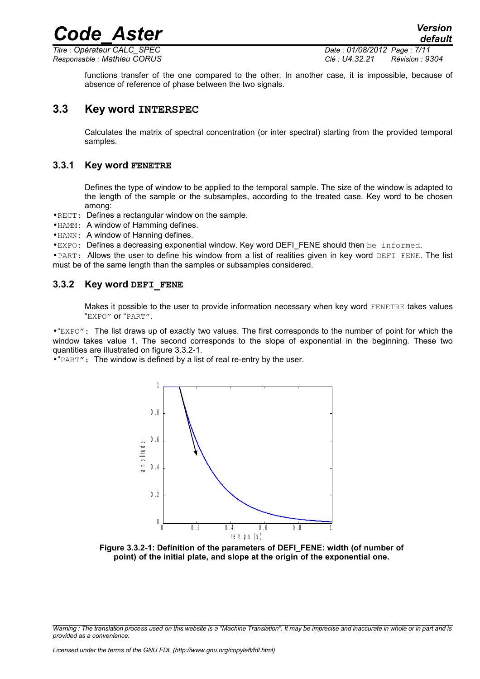*Titre : Opérateur CALC\_SPEC Date : 01/08/2012 Page : 7/11*

*Responsable : Mathieu CORUS Clé : U4.32.21 Révision : 9304*

*default*

functions transfer of the one compared to the other. In another case, it is impossible, because of absence of reference of phase between the two signals.

*Code\_Aster Version*

#### **3.3 Key word INTERSPEC**

<span id="page-6-2"></span>Calculates the matrix of spectral concentration (or inter spectral) starting from the provided temporal samples.

#### **3.3.1 Key word FENETRE**

<span id="page-6-1"></span>Defines the type of window to be applied to the temporal sample. The size of the window is adapted to the length of the sample or the subsamples, according to the treated case. Key word to be chosen among:

•RECT: Defines a rectangular window on the sample.

• HAMM: A window of Hamming defines.

•HANN: A window of Hanning defines.

•EXPO: Defines a decreasing exponential window. Key word DEFI\_FENE should then be informed.

• PART: Allows the user to define his window from a list of realities given in key word DEFI\_FENE. The list must be of the same length than the samples or subsamples considered.

#### **3.3.2 Key word DEFI\_FENE**

<span id="page-6-0"></span>Makes it possible to the user to provide information necessary when key word FENETRE takes values "EXPO" or "PART".

•"EXPO": The list draws up of exactly two values. The first corresponds to the number of point for which the window takes value 1. The second corresponds to the slope of exponential in the beginning. These two quantities are illustrated on figure [3.3.2-1.](#page-6-3)

•"PART": The window is defined by a list of real re-entry by the user.



<span id="page-6-3"></span>**Figure 3.3.2-1: Definition of the parameters of DEFI\_FENE: width (of number of point) of the initial plate, and slope at the origin of the exponential one.**

*Warning : The translation process used on this website is a "Machine Translation". It may be imprecise and inaccurate in whole or in part and is provided as a convenience.*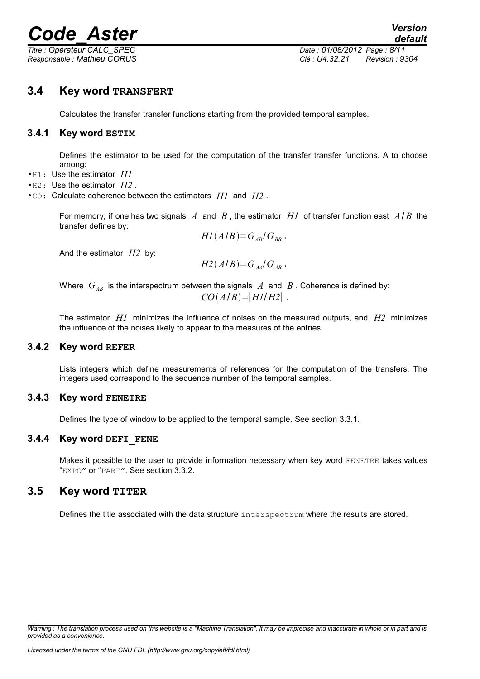*Titre : Opérateur CALC\_SPEC Date : 01/08/2012 Page : 8/11*

*Responsable : Mathieu CORUS Clé : U4.32.21 Révision : 9304*

#### **3.4 Key word TRANSFERT**

<span id="page-7-5"></span><span id="page-7-4"></span>Calculates the transfer transfer functions starting from the provided temporal samples.

#### **3.4.1 Key word ESTIM**

Defines the estimator to be used for the computation of the transfer transfer functions. A to choose among:

- •H1: Use the estimator *H1*
- •H2: Use the estimator *H2* .
- •CO: Calculate coherence between the estimators *H1* and *H2* .

For memory, if one has two signals *A* and *B* , the estimator *H1* of transfer function east *A*/ *B* the transfer defines by:

 $H1(A/B)=G_{AB}/G_{BB}$ ,

And the estimator *H2* by:

 $H2(A/B)=G_A/G_A$ <sub>*AB*</sub>,

Where  $G_{AB}$  is the interspectrum between the signals  $A$  and  $B$ . Coherence is defined by:  $CO(A/B) = |H1/H2|$ .

The estimator *H1* minimizes the influence of noises on the measured outputs, and *H2* minimizes the influence of the noises likely to appear to the measures of the entries.

#### **3.4.2 Key word REFER**

<span id="page-7-3"></span>Lists integers which define measurements of references for the computation of the transfers. The integers used correspond to the sequence number of the temporal samples.

#### **3.4.3 Key word FENETRE**

<span id="page-7-2"></span><span id="page-7-1"></span>Defines the type of window to be applied to the temporal sample. See section 3.3.1.

#### **3.4.4 Key word DEFI\_FENE**

Makes it possible to the user to provide information necessary when key word FENETRE takes values "EXPO" or "PART". See section 3.3.2.

#### **3.5 Key word TITER**

<span id="page-7-0"></span>Defines the title associated with the data structure interspectrum where the results are stored.

*Warning : The translation process used on this website is a "Machine Translation". It may be imprecise and inaccurate in whole or in part and is provided as a convenience.*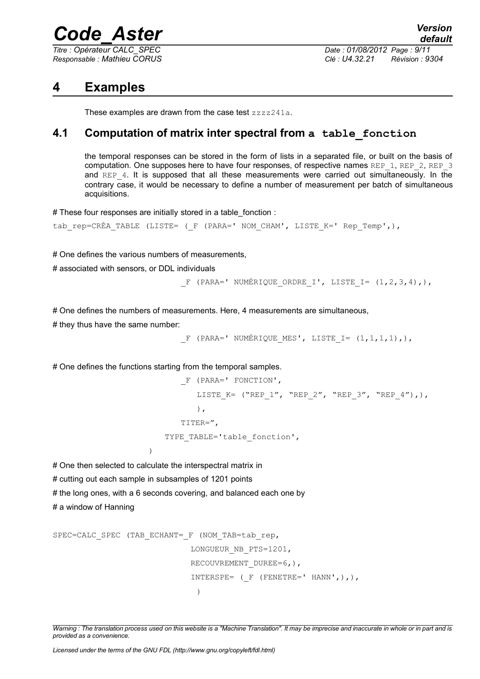*Titre : Opérateur CALC\_SPEC Date : 01/08/2012 Page : 9/11*

*Responsable : Mathieu CORUS Clé : U4.32.21 Révision : 9304*

## **4 Examples**

<span id="page-8-1"></span><span id="page-8-0"></span>These examples are drawn from the case test zzzz241a.

### **4.1 Computation of matrix inter spectral from a table\_fonction**

the temporal responses can be stored in the form of lists in a separated file, or built on the basis of computation. One supposes here to have four responses, of respective names REP\_1, REP\_2, REP\_3 and REP<sub>4</sub>. It is supposed that all these measurements were carried out simultaneously. In the contrary case, it would be necessary to define a number of measurement per batch of simultaneous acquisitions.

# These four responses are initially stored in a table\_fonction :

```
tab_rep=CRÉA_TABLE (LISTE= ( F (PARA=' NOM_CHAM', LISTE_K=' Rep_Temp',),
```
# One defines the various numbers of measurements,

# associated with sensors, or DDL individuals

```
F (PARA=' NUMÉRIQUE ORDRE I', LISTE I= (1,2,3,4),),
```
# One defines the numbers of measurements. Here, 4 measurements are simultaneous,

# they thus have the same number:

```
_F (PARA=' NUMÉRIQUE_MES', LISTE_I= (1,1,1,1),),
```
# One defines the functions starting from the temporal samples.

```
_F (PARA=' FONCTION', 
       LISTE K= ("REP 1", "REP 2", "REP 3", "REP 4"),),
       ), 
   TITER=", 
TYPE TABLE='table fonction',
```
# One then selected to calculate the interspectral matrix in

# cutting out each sample in subsamples of 1201 points

 $\lambda$ 

# the long ones, with a 6 seconds covering, and balanced each one by

# a window of Hanning

```
SPEC=CALC SPEC (TAB ECHANT= F (NOM TAB=tab rep,
                               LONGUEUR_NB_PTS=1201, 
                             RECOUVREMENT_DUREE=6,),
                              INTERSPE= (FENETRE=' HANN',),),\lambda
```
*Warning : The translation process used on this website is a "Machine Translation". It may be imprecise and inaccurate in whole or in part and is provided as a convenience.*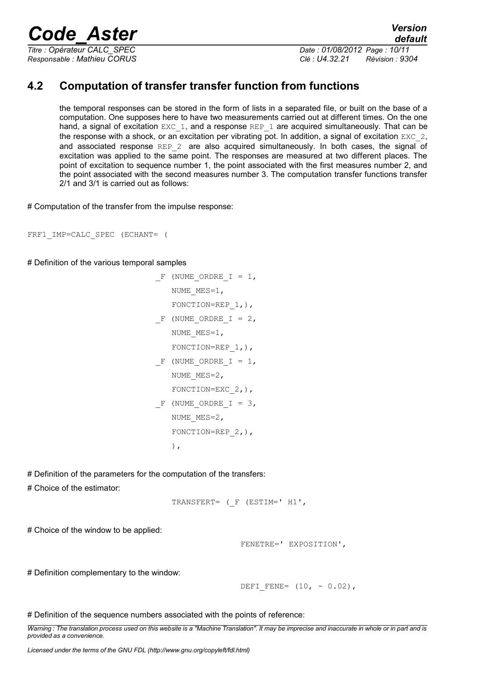*Responsable : Mathieu CORUS Clé : U4.32.21 Révision : 9304*

### **4.2 Computation of transfer transfer function from functions**

<span id="page-9-0"></span>the temporal responses can be stored in the form of lists in a separated file, or built on the base of a computation. One supposes here to have two measurements carried out at different times. On the one hand, a signal of excitation  $EXC-1$ , and a response  $REP-1$  are acquired simultaneously. That can be the response with a shock, or an excitation per vibrating pot. In addition, a signal of excitation EXC 2, and associated response REP 2 are also acquired simultaneously. In both cases, the signal of excitation was applied to the same point. The responses are measured at two different places. The point of excitation to sequence number 1, the point associated with the first measures number 2, and the point associated with the second measures number 3. The computation transfer functions transfer 2/1 and 3/1 is carried out as follows:

# Computation of the transfer from the impulse response:

FRF1\_IMP=CALC\_SPEC (ECHANT= (

# Definition of the various temporal samples

```
F (NUME ORDRE I = 1,
   NUME MES=1,
   FONCTION=REP 1, ),
F (NUME ORDRE I = 2,
   NUME_MES=1,
   FONCTION=REP 1, ),
F (NUME ORDRE I = 1,
   NUME MES=2,
   FONCTION=EXC 2,),
F (NUME ORDRE I = 3,
   NUME MES=2,
   FONCTION=REP 2, ),
   ),
```
# Definition of the parameters for the computation of the transfers:

# Choice of the estimator:

```
TRANSFERT= (_F (ESTIM=' H1',
```
# Choice of the window to be applied:

```
 FENETRE=' EXPOSITION',
```
# Definition complementary to the window:

DEFI FENE=  $(10, -0.02)$ ,

# Definition of the sequence numbers associated with the points of reference:

*Warning : The translation process used on this website is a "Machine Translation". It may be imprecise and inaccurate in whole or in part and is provided as a convenience.*